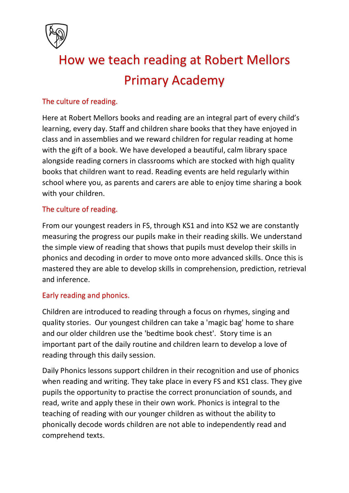

# How we teach reading at Robert Mellors Primary Academy

## The culture of reading.

Here at Robert Mellors books and reading are an integral part of every child's learning, every day. Staff and children share books that they have enjoyed in class and in assemblies and we reward children for regular reading at home with the gift of a book. We have developed a beautiful, calm library space alongside reading corners in classrooms which are stocked with high quality books that children want to read. Reading events are held regularly within school where you, as parents and carers are able to enjoy time sharing a book with your children.

## The culture of reading.

From our youngest readers in FS, through KS1 and into KS2 we are constantly measuring the progress our pupils make in their reading skills. We understand the simple view of reading that shows that pupils must develop their skills in phonics and decoding in order to move onto more advanced skills. Once this is mastered they are able to develop skills in comprehension, prediction, retrieval and inference.

## Early reading and phonics.

Children are introduced to reading through a focus on rhymes, singing and quality stories. Our youngest children can take a 'magic bag' home to share and our older children use the 'bedtime book chest'. Story time is an important part of the daily routine and children learn to develop a love of reading through this daily session.

Daily Phonics lessons support children in their recognition and use of phonics when reading and writing. They take place in every FS and KS1 class. They give pupils the opportunity to practise the correct pronunciation of sounds, and read, write and apply these in their own work. Phonics is integral to the teaching of reading with our younger children as without the ability to phonically decode words children are not able to independently read and comprehend texts.